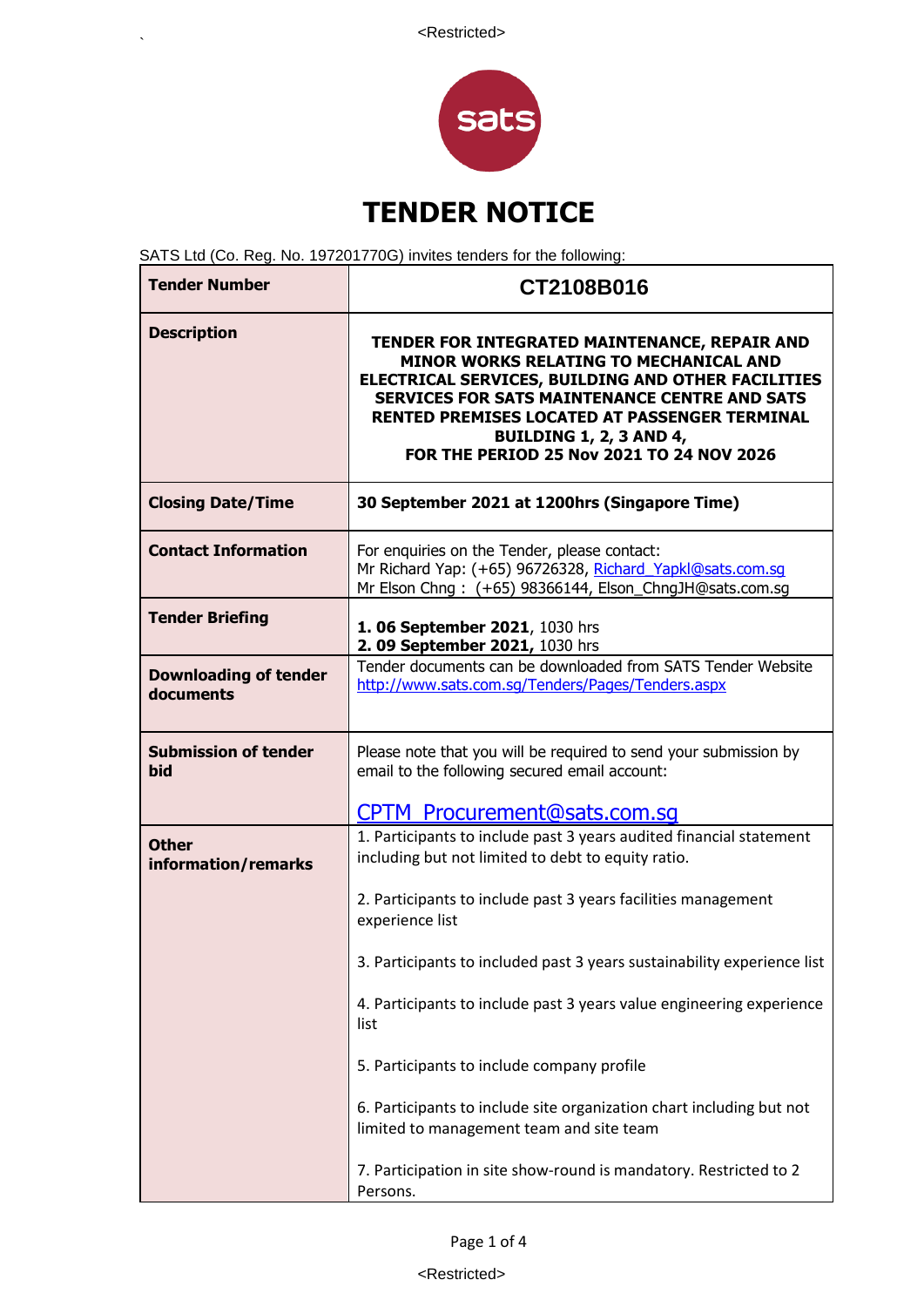

SATS Ltd (Co. Reg. No. 197201770G) invites tenders for the following:

 $\ddot{\phantom{0}}$ 

| <b>Tender Number</b>                      | CT2108B016                                                                                                                                                                                                                                                                                                                                   |  |
|-------------------------------------------|----------------------------------------------------------------------------------------------------------------------------------------------------------------------------------------------------------------------------------------------------------------------------------------------------------------------------------------------|--|
| <b>Description</b>                        | TENDER FOR INTEGRATED MAINTENANCE, REPAIR AND<br><b>MINOR WORKS RELATING TO MECHANICAL AND</b><br>ELECTRICAL SERVICES, BUILDING AND OTHER FACILITIES<br><b>SERVICES FOR SATS MAINTENANCE CENTRE AND SATS</b><br>RENTED PREMISES LOCATED AT PASSENGER TERMINAL<br><b>BUILDING 1, 2, 3 AND 4,</b><br>FOR THE PERIOD 25 Nov 2021 TO 24 NOV 2026 |  |
| <b>Closing Date/Time</b>                  | 30 September 2021 at 1200hrs (Singapore Time)                                                                                                                                                                                                                                                                                                |  |
| <b>Contact Information</b>                | For enquiries on the Tender, please contact:<br>Mr Richard Yap: (+65) 96726328, Richard Yapkl@sats.com.sq<br>Mr Elson Chng: (+65) 98366144, Elson_ChngJH@sats.com.sg                                                                                                                                                                         |  |
| <b>Tender Briefing</b>                    | 1. 06 September 2021, 1030 hrs<br>2. 09 September 2021, 1030 hrs                                                                                                                                                                                                                                                                             |  |
| <b>Downloading of tender</b><br>documents | Tender documents can be downloaded from SATS Tender Website<br>http://www.sats.com.sq/Tenders/Pages/Tenders.aspx                                                                                                                                                                                                                             |  |
| <b>Submission of tender</b><br>bid        | Please note that you will be required to send your submission by<br>email to the following secured email account:                                                                                                                                                                                                                            |  |
|                                           | <b>CPTM Procurement@sats.com.sq</b>                                                                                                                                                                                                                                                                                                          |  |
| <b>Other</b><br>information/remarks       | 1. Participants to include past 3 years audited financial statement<br>including but not limited to debt to equity ratio.                                                                                                                                                                                                                    |  |
|                                           | 2. Participants to include past 3 years facilities management<br>experience list                                                                                                                                                                                                                                                             |  |
|                                           | 3. Participants to included past 3 years sustainability experience list                                                                                                                                                                                                                                                                      |  |
|                                           | 4. Participants to include past 3 years value engineering experience<br>list                                                                                                                                                                                                                                                                 |  |
|                                           | 5. Participants to include company profile                                                                                                                                                                                                                                                                                                   |  |
|                                           | 6. Participants to include site organization chart including but not<br>limited to management team and site team                                                                                                                                                                                                                             |  |
|                                           | 7. Participation in site show-round is mandatory. Restricted to 2<br>Persons.                                                                                                                                                                                                                                                                |  |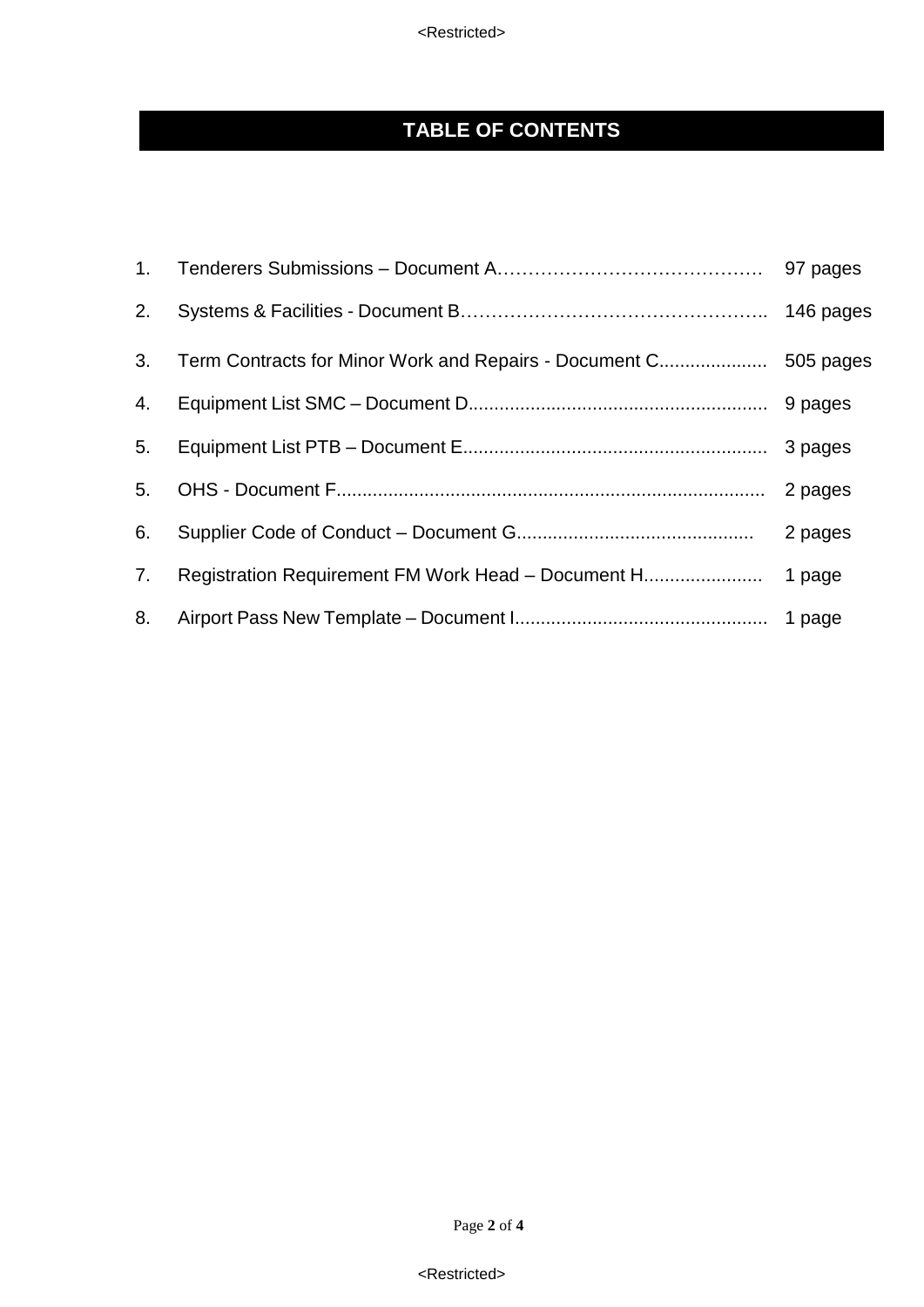<Restricted>

# **TABLE OF CONTENTS**

| 2. |                                                    | 146 pages |
|----|----------------------------------------------------|-----------|
| 3. |                                                    |           |
| 4. |                                                    |           |
| 5. |                                                    |           |
| 5. |                                                    | 2 pages   |
| 6. |                                                    | 2 pages   |
| 7. | Registration Requirement FM Work Head - Document H | 1 page    |
| 8. |                                                    |           |

<Restricted>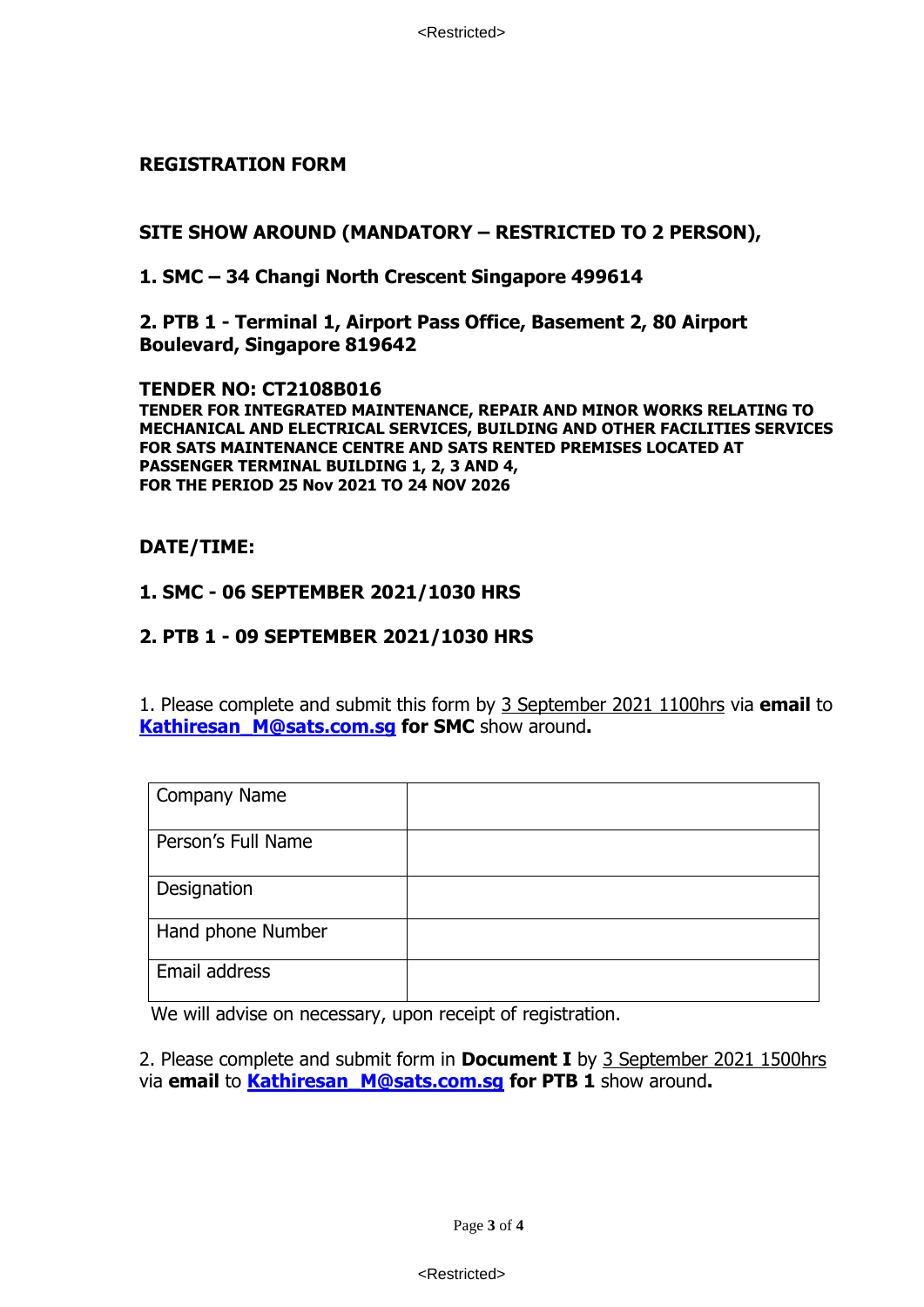<Restricted>

#### **REGISTRATION FORM**

### **SITE SHOW AROUND (MANDATORY – RESTRICTED TO 2 PERSON),**

**1. SMC – 34 Changi North Crescent Singapore 499614**

**2. PTB 1 - Terminal 1, Airport Pass Office, Basement 2, 80 Airport Boulevard, Singapore 819642**

**TENDER NO: CT2108B016 TENDER FOR INTEGRATED MAINTENANCE, REPAIR AND MINOR WORKS RELATING TO MECHANICAL AND ELECTRICAL SERVICES, BUILDING AND OTHER FACILITIES SERVICES FOR SATS MAINTENANCE CENTRE AND SATS RENTED PREMISES LOCATED AT PASSENGER TERMINAL BUILDING 1, 2, 3 AND 4, FOR THE PERIOD 25 Nov 2021 TO 24 NOV 2026** 

### **DATE/TIME:**

### **1. SMC - 06 SEPTEMBER 2021/1030 HRS**

### **2. PTB 1 - 09 SEPTEMBER 2021/1030 HRS**

1. Please complete and submit this form by 3 September 2021 1100hrs via **email** to **[Kathiresan\\_M@sats.com.sg](mailto:Kathiresan_M@sats.com.sg) for SMC** show around**.**

| <b>Company Name</b> |  |
|---------------------|--|
| Person's Full Name  |  |
| Designation         |  |
| Hand phone Number   |  |
| Email address       |  |

We will advise on necessary, upon receipt of registration.

2. Please complete and submit form in **Document I** by 3 September 2021 1500hrs via **email** to **[Kathiresan\\_M@sats.com.sg](mailto:Kathiresan_M@sats.com.sg) for PTB 1** show around**.**